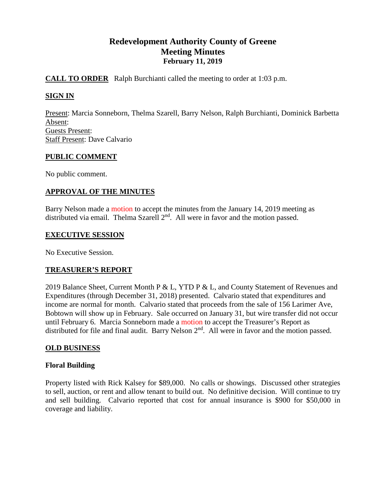# **Redevelopment Authority County of Greene Meeting Minutes February 11, 2019**

# **CALL TO ORDER** Ralph Burchianti called the meeting to order at 1:03 p.m.

# **SIGN IN**

Present: Marcia Sonneborn, Thelma Szarell, Barry Nelson, Ralph Burchianti, Dominick Barbetta Absent: Guests Present: Staff Present: Dave Calvario

# **PUBLIC COMMENT**

No public comment.

# **APPROVAL OF THE MINUTES**

Barry Nelson made a motion to accept the minutes from the January 14, 2019 meeting as distributed via email. Thelma Szarell 2<sup>nd</sup>. All were in favor and the motion passed.

### **EXECUTIVE SESSION**

No Executive Session.

# **TREASURER'S REPORT**

2019 Balance Sheet, Current Month P & L, YTD P & L, and County Statement of Revenues and Expenditures (through December 31, 2018) presented. Calvario stated that expenditures and income are normal for month. Calvario stated that proceeds from the sale of 156 Larimer Ave, Bobtown will show up in February. Sale occurred on January 31, but wire transfer did not occur until February 6. Marcia Sonneborn made a motion to accept the Treasurer's Report as distributed for file and final audit. Barry Nelson 2<sup>nd</sup>. All were in favor and the motion passed.

# **OLD BUSINESS**

# **Floral Building**

Property listed with Rick Kalsey for \$89,000. No calls or showings. Discussed other strategies to sell, auction, or rent and allow tenant to build out. No definitive decision. Will continue to try and sell building. Calvario reported that cost for annual insurance is \$900 for \$50,000 in coverage and liability.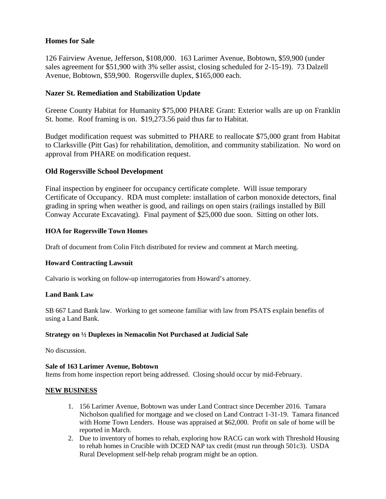# **Homes for Sale**

126 Fairview Avenue, Jefferson, \$108,000. 163 Larimer Avenue, Bobtown, \$59,900 (under sales agreement for \$51,900 with 3% seller assist, closing scheduled for 2-15-19). 73 Dalzell Avenue, Bobtown, \$59,900. Rogersville duplex, \$165,000 each.

# **Nazer St. Remediation and Stabilization Update**

Greene County Habitat for Humanity \$75,000 PHARE Grant: Exterior walls are up on Franklin St. home. Roof framing is on. \$19,273.56 paid thus far to Habitat.

Budget modification request was submitted to PHARE to reallocate \$75,000 grant from Habitat to Clarksville (Pitt Gas) for rehabilitation, demolition, and community stabilization. No word on approval from PHARE on modification request.

# **Old Rogersville School Development**

Final inspection by engineer for occupancy certificate complete. Will issue temporary Certificate of Occupancy. RDA must complete: installation of carbon monoxide detectors, final grading in spring when weather is good, and railings on open stairs (railings installed by Bill Conway Accurate Excavating). Final payment of \$25,000 due soon. Sitting on other lots.

### **HOA for Rogersville Town Homes**

Draft of document from Colin Fitch distributed for review and comment at March meeting.

# **Howard Contracting Lawsuit**

Calvario is working on follow-up interrogatories from Howard's attorney.

### **Land Bank Law**

SB 667 Land Bank law. Working to get someone familiar with law from PSATS explain benefits of using a Land Bank.

### **Strategy on ½ Duplexes in Nemacolin Not Purchased at Judicial Sale**

No discussion.

### **Sale of 163 Larimer Avenue, Bobtown**

Items from home inspection report being addressed. Closing should occur by mid-February.

### **NEW BUSINESS**

- 1. 156 Larimer Avenue, Bobtown was under Land Contract since December 2016. Tamara Nicholson qualified for mortgage and we closed on Land Contract 1-31-19. Tamara financed with Home Town Lenders. House was appraised at \$62,000. Profit on sale of home will be reported in March.
- 2. Due to inventory of homes to rehab, exploring how RACG can work with Threshold Housing to rehab homes in Crucible with DCED NAP tax credit (must run through 501c3). USDA Rural Development self-help rehab program might be an option.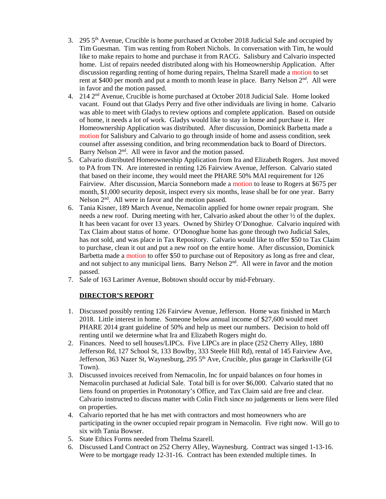- 3. 295  $5<sup>th</sup>$  Avenue, Crucible is home purchased at October 2018 Judicial Sale and occupied by Tim Guesman. Tim was renting from Robert Nichols. In conversation with Tim, he would like to make repairs to home and purchase it from RACG. Salisbury and Calvario inspected home. List of repairs needed distributed along with his Homeownership Application. After discussion regarding renting of home during repairs, Thelma Szarell made a motion to set rent at \$400 per month and put a month to month lease in place. Barry Nelson 2<sup>nd</sup>. All were in favor and the motion passed.
- 4. 214 2nd Avenue, Crucible is home purchased at October 2018 Judicial Sale. Home looked vacant. Found out that Gladys Perry and five other individuals are living in home. Calvario was able to meet with Gladys to review options and complete application. Based on outside of home, it needs a lot of work. Gladys would like to stay in home and purchase it. Her Homeownership Application was distributed. After discussion, Dominick Barbetta made a motion for Salisbury and Calvario to go through inside of home and assess condition, seek counsel after assessing condition, and bring recommendation back to Board of Directors. Barry Nelson  $2<sup>nd</sup>$ . All were in favor and the motion passed.
- 5. Calvario distributed Homeownership Application from Ira and Elizabeth Rogers. Just moved to PA from TN. Are interested in renting 126 Fairview Avenue, Jefferson. Calvario stated that based on their income, they would meet the PHARE 50% MAI requirement for 126 Fairview. After discussion, Marcia Sonneborn made a motion to lease to Rogers at \$675 per month, \$1,000 security deposit, inspect every six months, lease shall be for one year. Barry Nelson 2<sup>nd</sup>. All were in favor and the motion passed.
- 6. Tania Kisner, 189 March Avenue, Nemacolin applied for home owner repair program. She needs a new roof. During meeting with her, Calvario asked about the other ½ of the duplex. It has been vacant for over 13 years. Owned by Shirley O'Donoghue. Calvario inquired with Tax Claim about status of home. O'Donoghue home has gone through two Judicial Sales, has not sold, and was place in Tax Repository. Calvario would like to offer \$50 to Tax Claim to purchase, clean it out and put a new roof on the entire home. After discussion, Dominick Barbetta made a motion to offer \$50 to purchase out of Repository as long as free and clear, and not subject to any municipal liens. Barry Nelson 2<sup>nd</sup>. All were in favor and the motion passed.
- 7. Sale of 163 Larimer Avenue, Bobtown should occur by mid-February.

# **DIRECTOR'S REPORT**

- 1. Discussed possibly renting 126 Fairview Avenue, Jefferson. Home was finished in March 2018. Little interest in home. Someone below annual income of \$27,600 would meet PHARE 2014 grant guideline of 50% and help us meet our numbers. Decision to hold off renting until we determine what Ira and Elizabeth Rogers might do.
- 2. Finances. Need to sell houses/LIPCs. Five LIPCs are in place (252 Cherry Alley, 1880 Jefferson Rd, 127 School St, 133 Bowlby, 333 Steele Hill Rd), rental of 145 Fairview Ave, Jefferson, 363 Nazer St, Waynesburg, 295  $5<sup>th</sup>$  Ave, Crucible, plus garage in Clarksville (GI Town).
- 3. Discussed invoices received from Nemacolin, Inc for unpaid balances on four homes in Nemacolin purchased at Judicial Sale. Total bill is for over \$6,000. Calvario stated that no liens found on properties in Protonotary's Office, and Tax Claim said are free and clear. Calvario instructed to discuss matter with Colin Fitch since no judgements or liens were filed on properties.
- 4. Calvario reported that he has met with contractors and most homeowners who are participating in the owner occupied repair program in Nemacolin. Five right now. Will go to six with Tania Bowser.
- 5. State Ethics Forms needed from Thelma Szarell.
- 6. Discussed Land Contract on 252 Cherry Alley, Waynesburg. Contract was singed 1-13-16. Were to be mortgage ready 12-31-16. Contract has been extended multiple times. In